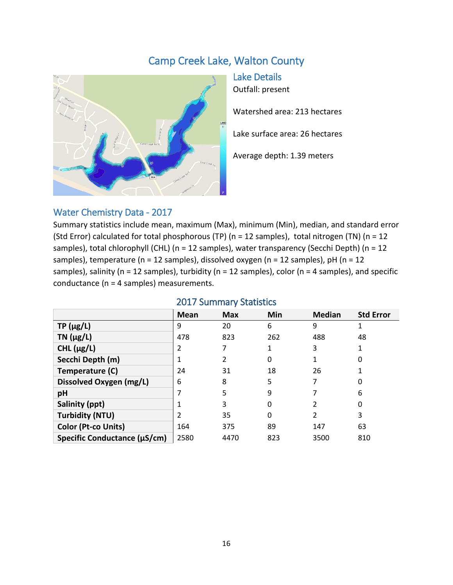# Camp Creek Lake, Walton County



Lake Details Outfall: present

Watershed area: 213 hectares

Lake surface area: 26 hectares

Average depth: 1.39 meters

### Water Chemistry Data - 2017

Summary statistics include mean, maximum (Max), minimum (Min), median, and standard error (Std Error) calculated for total phosphorous (TP) (n = 12 samples), total nitrogen (TN) (n = 12 samples), total chlorophyll (CHL) (n = 12 samples), water transparency (Secchi Depth) (n = 12 samples), temperature ( $n = 12$  samples), dissolved oxygen ( $n = 12$  samples),  $pH$  ( $n = 12$ samples), salinity ( $n = 12$  samples), turbidity ( $n = 12$  samples), color ( $n = 4$  samples), and specific conductance (n = 4 samples) measurements.

|                              | EUIT SUITIITUI JUULISLISS |            |     |               |                  |  |  |
|------------------------------|---------------------------|------------|-----|---------------|------------------|--|--|
|                              | Mean                      | <b>Max</b> | Min | <b>Median</b> | <b>Std Error</b> |  |  |
| $TP(\mu g/L)$                | 9                         | 20         | 6   | 9             |                  |  |  |
| $TN$ ( $\mu$ g/L)            | 478                       | 823        | 262 | 488           | 48               |  |  |
| CHL $(\mu g/L)$              |                           |            | 1   | 3             |                  |  |  |
| Secchi Depth (m)             |                           |            | 0   |               | 0                |  |  |
| Temperature (C)              | 24                        | 31         | 18  | 26            |                  |  |  |
| Dissolved Oxygen (mg/L)      | 6                         | 8          | 5   |               |                  |  |  |
| pH                           |                           | 5          | 9   |               | 6                |  |  |
| Salinity (ppt)               |                           | 3          | 0   | 2             | 0                |  |  |
| <b>Turbidity (NTU)</b>       |                           | 35         | 0   | 2             | 3                |  |  |
| <b>Color (Pt-co Units)</b>   | 164                       | 375        | 89  | 147           | 63               |  |  |
| Specific Conductance (µS/cm) | 2580                      | 4470       | 823 | 3500          | 810              |  |  |

#### 2017 Summary Statistics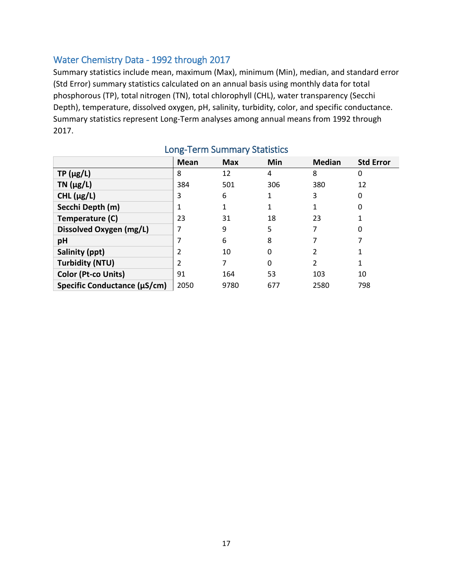# Water Chemistry Data - 1992 through 2017

Summary statistics include mean, maximum (Max), minimum (Min), median, and standard error (Std Error) summary statistics calculated on an annual basis using monthly data for total phosphorous (TP), total nitrogen (TN), total chlorophyll (CHL), water transparency (Secchi Depth), temperature, dissolved oxygen, pH, salinity, turbidity, color, and specific conductance. Summary statistics represent Long-Term analyses among annual means from 1992 through 2017.

|                              | Mean | <b>Max</b> | Min      | <b>Median</b> | <b>Std Error</b> |
|------------------------------|------|------------|----------|---------------|------------------|
| $TP(\mu g/L)$                | 8    | 12         | 4        | 8             | 0                |
| $TN$ ( $\mu$ g/L)            | 384  | 501        | 306      | 380           | 12               |
| CHL $(\mu g/L)$              | 3    | 6          |          | 3             | 0                |
| Secchi Depth (m)             |      |            |          |               | 0                |
| Temperature (C)              | 23   | 31         | 18       | 23            |                  |
| Dissolved Oxygen (mg/L)      |      | 9          | 5        | 7             | 0                |
| pH                           |      | 6          | 8        |               |                  |
| Salinity (ppt)               |      | 10         | 0        | 2             |                  |
| <b>Turbidity (NTU)</b>       |      |            | $\Omega$ | 2             |                  |
| Color (Pt-co Units)          | 91   | 164        | 53       | 103           | 10               |
| Specific Conductance (µS/cm) | 2050 | 9780       | 677      | 2580          | 798              |

# Long-Term Summary Statistics